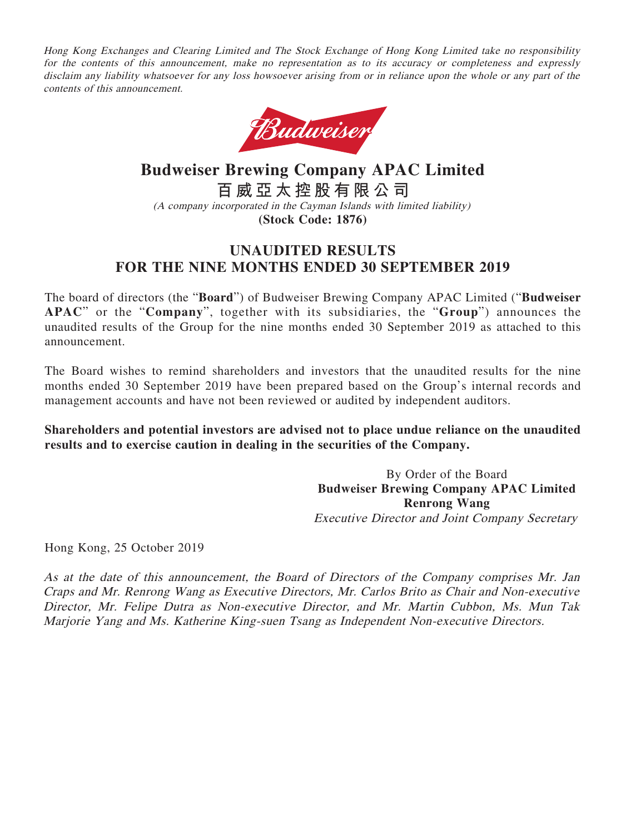Hong Kong Exchanges and Clearing Limited and The Stock Exchange of Hong Kong Limited take no responsibility for the contents of this announcement, make no representation as to its accuracy or completeness and expressly disclaim any liability whatsoever for any loss howsoever arising from or in reliance upon the whole or any part of the contents of this announcement.



**Budweiser Brewing Company APAC Limited 百威亞太控股有限公司** (A company incorporated in the Cayman Islands with limited liability) **(Stock Code: 1876)**

# **UNAUDITED RESULTS FOR THE NINE MONTHS ENDED 30 SEPTEMBER 2019**

The board of directors (the "**Board**") of Budweiser Brewing Company APAC Limited ("**Budweiser APAC**" or the "**Company**", together with its subsidiaries, the "**Group**") announces the unaudited results of the Group for the nine months ended 30 September 2019 as attached to this announcement.

The Board wishes to remind shareholders and investors that the unaudited results for the nine months ended 30 September 2019 have been prepared based on the Group's internal records and management accounts and have not been reviewed or audited by independent auditors.

**Shareholders and potential investors are advised not to place undue reliance on the unaudited results and to exercise caution in dealing in the securities of the Company.**

> By Order of the Board **Budweiser Brewing Company APAC Limited Renrong Wang** Executive Director and Joint Company Secretary

Hong Kong, 25 October 2019

As at the date of this announcement, the Board of Directors of the Company comprises Mr. Jan Craps and Mr. Renrong Wang as Executive Directors, Mr. Carlos Brito as Chair and Non-executive Director, Mr. Felipe Dutra as Non-executive Director, and Mr. Martin Cubbon, Ms. Mun Tak Marjorie Yang and Ms. Katherine King-suen Tsang as Independent Non-executive Directors.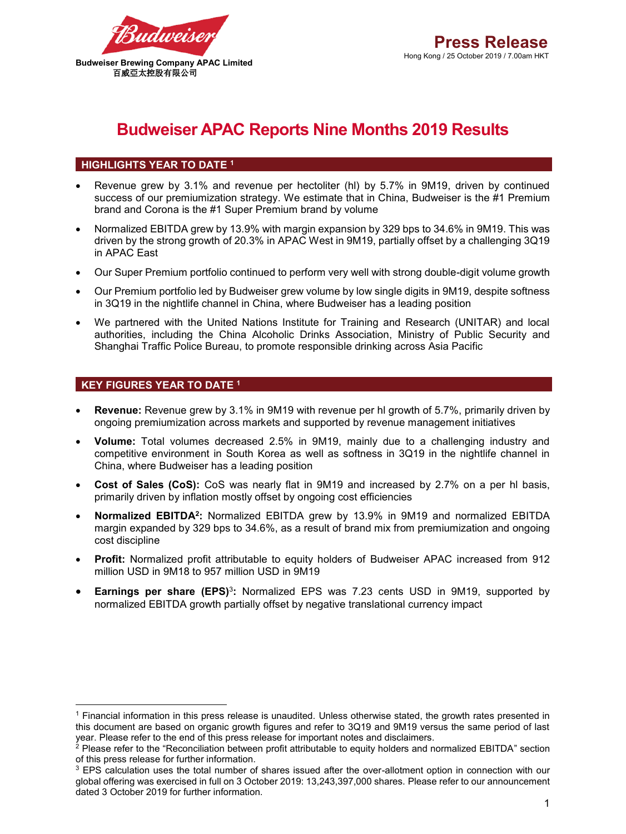

# **Budweiser APAC Reports Nine Months 2019 Results**

## **HIGHLIGHTS YEAR TO DATE <sup>1</sup>**

- Revenue grew by 3.1% and revenue per hectoliter (hl) by 5.7% in 9M19, driven by continued success of our premiumization strategy. We estimate that in China, Budweiser is the #1 Premium brand and Corona is the #1 Super Premium brand by volume
- Normalized EBITDA grew by 13.9% with margin expansion by 329 bps to 34.6% in 9M19. This was driven by the strong growth of 20.3% in APAC West in 9M19, partially offset by a challenging 3Q19 in APAC East
- Our Super Premium portfolio continued to perform very well with strong double-digit volume growth
- Our Premium portfolio led by Budweiser grew volume by low single digits in 9M19, despite softness in 3Q19 in the nightlife channel in China, where Budweiser has a leading position
- We partnered with the United Nations Institute for Training and Research (UNITAR) and local authorities, including the China Alcoholic Drinks Association, Ministry of Public Security and Shanghai Traffic Police Bureau, to promote responsible drinking across Asia Pacific

## **KEY FIGURES YEAR TO DATE <sup>1</sup>**

 $\overline{a}$ 

- **Revenue:** Revenue grew by 3.1% in 9M19 with revenue per hl growth of 5.7%, primarily driven by ongoing premiumization across markets and supported by revenue management initiatives
- **Volume:** Total volumes decreased 2.5% in 9M19, mainly due to a challenging industry and competitive environment in South Korea as well as softness in 3Q19 in the nightlife channel in China, where Budweiser has a leading position
- **Cost of Sales (CoS):** CoS was nearly flat in 9M19 and increased by 2.7% on a per hl basis, primarily driven by inflation mostly offset by ongoing cost efficiencies
- **Normalized EBITDA2:** Normalized EBITDA grew by 13.9% in 9M19 and normalized EBITDA margin expanded by 329 bps to 34.6%, as a result of brand mix from premiumization and ongoing cost discipline
- **Profit:** Normalized profit attributable to equity holders of Budweiser APAC increased from 912 million USD in 9M18 to 957 million USD in 9M19
- **Earnings per share (EPS)**<sup>3</sup>**:** Normalized EPS was 7.23 cents USD in 9M19, supported by normalized EBITDA growth partially offset by negative translational currency impact

<sup>1</sup> Financial information in this press release is unaudited. Unless otherwise stated, the growth rates presented in this document are based on organic growth figures and refer to 3Q19 and 9M19 versus the same period of last year. Please refer to the end of this press release for important notes and disclaimers.

<sup>&</sup>lt;sup>2</sup> Please refer to the "Reconciliation between profit attributable to equity holders and normalized EBITDA" section of this press release for further information.

 $3$  EPS calculation uses the total number of shares issued after the over-allotment option in connection with our global offering was exercised in full on 3 October 2019: 13,243,397,000 shares. Please refer to our announcement dated 3 October 2019 for further information.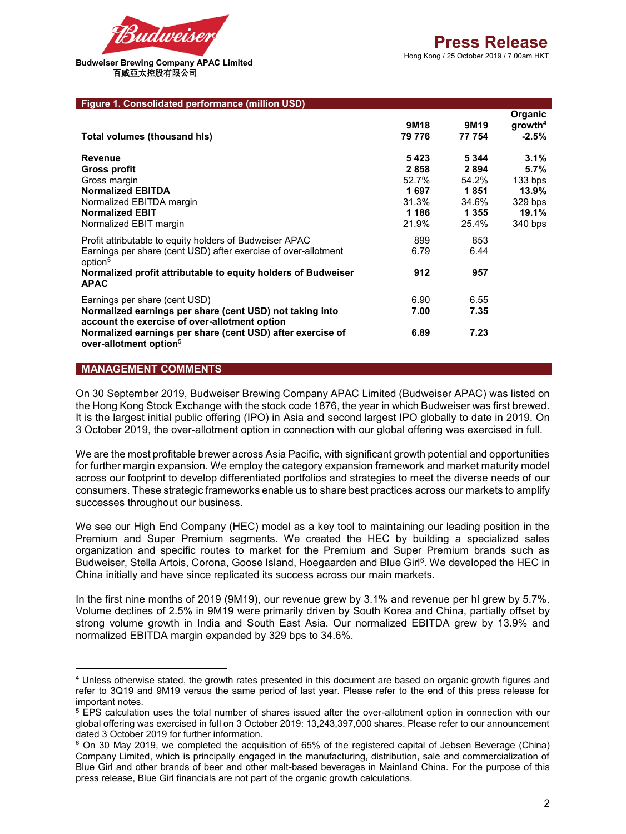

Hong Kong / 25 October 2019 / 7.00am HKT

#### **Figure 1. Consolidated performance (million USD)**

|                                                                                                           |                  |                  | Organic             |
|-----------------------------------------------------------------------------------------------------------|------------------|------------------|---------------------|
|                                                                                                           | 9M <sub>18</sub> | 9M <sub>19</sub> | qrowth <sup>4</sup> |
| Total volumes (thousand his)                                                                              | 79 776           | 77 754           | $-2.5%$             |
| <b>Revenue</b>                                                                                            | 5423             | 5 3 4 4          | 3.1%                |
| <b>Gross profit</b>                                                                                       | 2858             | 2894             | 5.7%                |
| Gross margin                                                                                              | 52.7%            | 54.2%            | $133$ bps           |
| <b>Normalized EBITDA</b>                                                                                  | 1697             | 1851             | 13.9%               |
| Normalized EBITDA margin                                                                                  | 31.3%            | 34.6%            | 329 bps             |
| <b>Normalized EBIT</b>                                                                                    | 1 1 8 6          | 1 3 5 5          | 19.1%               |
| Normalized EBIT margin                                                                                    | 21.9%            | 25.4%            | 340 bps             |
| Profit attributable to equity holders of Budweiser APAC                                                   | 899              | 853              |                     |
| Earnings per share (cent USD) after exercise of over-allotment<br>option <sup>5</sup>                     | 6.79             | 6.44             |                     |
| Normalized profit attributable to equity holders of Budweiser<br><b>APAC</b>                              | 912              | 957              |                     |
| Earnings per share (cent USD)                                                                             | 6.90             | 6.55             |                     |
| Normalized earnings per share (cent USD) not taking into<br>account the exercise of over-allotment option | 7.00             | 7.35             |                     |
| Normalized earnings per share (cent USD) after exercise of<br>over-allotment option <sup>5</sup>          | 6.89             | 7.23             |                     |

#### **MANAGEMENT COMMENTS**

 $\overline{a}$ 

On 30 September 2019, Budweiser Brewing Company APAC Limited (Budweiser APAC) was listed on the Hong Kong Stock Exchange with the stock code 1876, the year in which Budweiser was first brewed. It is the largest initial public offering (IPO) in Asia and second largest IPO globally to date in 2019. On 3 October 2019, the over-allotment option in connection with our global offering was exercised in full.

We are the most profitable brewer across Asia Pacific, with significant growth potential and opportunities for further margin expansion. We employ the category expansion framework and market maturity model across our footprint to develop differentiated portfolios and strategies to meet the diverse needs of our consumers. These strategic frameworks enable us to share best practices across our markets to amplify successes throughout our business.

We see our High End Company (HEC) model as a key tool to maintaining our leading position in the Premium and Super Premium segments. We created the HEC by building a specialized sales organization and specific routes to market for the Premium and Super Premium brands such as Budweiser, Stella Artois, Corona, Goose Island, Hoegaarden and Blue Girl<sup>6</sup>. We developed the HEC in China initially and have since replicated its success across our main markets.

In the first nine months of 2019 (9M19), our revenue grew by 3.1% and revenue per hl grew by 5.7%. Volume declines of 2.5% in 9M19 were primarily driven by South Korea and China, partially offset by strong volume growth in India and South East Asia. Our normalized EBITDA grew by 13.9% and normalized EBITDA margin expanded by 329 bps to 34.6%.

<sup>4</sup> Unless otherwise stated, the growth rates presented in this document are based on organic growth figures and refer to 3Q19 and 9M19 versus the same period of last year. Please refer to the end of this press release for important notes.

<sup>5</sup> EPS calculation uses the total number of shares issued after the over-allotment option in connection with our global offering was exercised in full on 3 October 2019: 13,243,397,000 shares. Please refer to our announcement dated 3 October 2019 for further information.

<sup>6</sup> On 30 May 2019, we completed the acquisition of 65% of the registered capital of Jebsen Beverage (China) Company Limited, which is principally engaged in the manufacturing, distribution, sale and commercialization of Blue Girl and other brands of beer and other malt-based beverages in Mainland China. For the purpose of this press release, Blue Girl financials are not part of the organic growth calculations.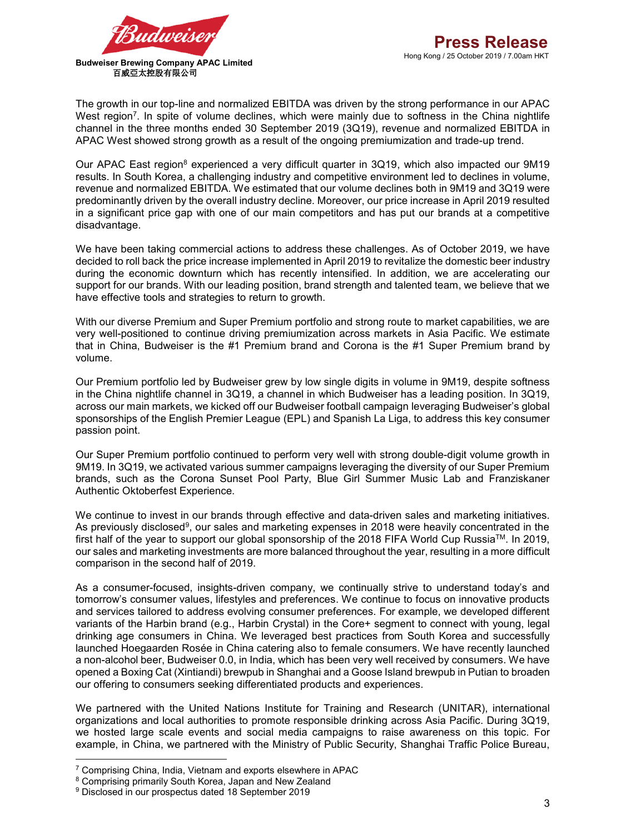The growth in our top-line and normalized EBITDA was driven by the strong performance in our APAC West region<sup>7</sup>. In spite of volume declines, which were mainly due to softness in the China nightlife channel in the three months ended 30 September 2019 (3Q19), revenue and normalized EBITDA in APAC West showed strong growth as a result of the ongoing premiumization and trade-up trend.

Our APAC East region<sup>8</sup> experienced a very difficult quarter in 3Q19, which also impacted our 9M19 results. In South Korea, a challenging industry and competitive environment led to declines in volume, revenue and normalized EBITDA. We estimated that our volume declines both in 9M19 and 3Q19 were predominantly driven by the overall industry decline. Moreover, our price increase in April 2019 resulted in a significant price gap with one of our main competitors and has put our brands at a competitive disadvantage.

We have been taking commercial actions to address these challenges. As of October 2019, we have decided to roll back the price increase implemented in April 2019 to revitalize the domestic beer industry during the economic downturn which has recently intensified. In addition, we are accelerating our support for our brands. With our leading position, brand strength and talented team, we believe that we have effective tools and strategies to return to growth.

With our diverse Premium and Super Premium portfolio and strong route to market capabilities, we are very well-positioned to continue driving premiumization across markets in Asia Pacific. We estimate that in China, Budweiser is the #1 Premium brand and Corona is the #1 Super Premium brand by volume.

Our Premium portfolio led by Budweiser grew by low single digits in volume in 9M19, despite softness in the China nightlife channel in 3Q19, a channel in which Budweiser has a leading position. In 3Q19, across our main markets, we kicked off our Budweiser football campaign leveraging Budweiser's global sponsorships of the English Premier League (EPL) and Spanish La Liga, to address this key consumer passion point.

Our Super Premium portfolio continued to perform very well with strong double-digit volume growth in 9M19. In 3Q19, we activated various summer campaigns leveraging the diversity of our Super Premium brands, such as the Corona Sunset Pool Party, Blue Girl Summer Music Lab and Franziskaner Authentic Oktoberfest Experience.

We continue to invest in our brands through effective and data-driven sales and marketing initiatives. As previously disclosed<sup>9</sup>, our sales and marketing expenses in 2018 were heavily concentrated in the first half of the year to support our global sponsorship of the 2018 FIFA World Cup Russia™. In 2019, our sales and marketing investments are more balanced throughout the year, resulting in a more difficult comparison in the second half of 2019.

As a consumer-focused, insights-driven company, we continually strive to understand today's and tomorrow's consumer values, lifestyles and preferences. We continue to focus on innovative products and services tailored to address evolving consumer preferences. For example, we developed different variants of the Harbin brand (e.g., Harbin Crystal) in the Core+ segment to connect with young, legal drinking age consumers in China. We leveraged best practices from South Korea and successfully launched Hoegaarden Rosée in China catering also to female consumers. We have recently launched a non-alcohol beer, Budweiser 0.0, in India, which has been very well received by consumers. We have opened a Boxing Cat (Xintiandi) brewpub in Shanghai and a Goose Island brewpub in Putian to broaden our offering to consumers seeking differentiated products and experiences.

We partnered with the United Nations Institute for Training and Research (UNITAR), international organizations and local authorities to promote responsible drinking across Asia Pacific. During 3Q19, we hosted large scale events and social media campaigns to raise awareness on this topic. For example, in China, we partnered with the Ministry of Public Security, Shanghai Traffic Police Bureau,

 $\overline{a}$ 

<sup>7</sup> Comprising China, India, Vietnam and exports elsewhere in APAC

<sup>8</sup> Comprising primarily South Korea, Japan and New Zealand

<sup>9</sup> Disclosed in our prospectus dated 18 September 2019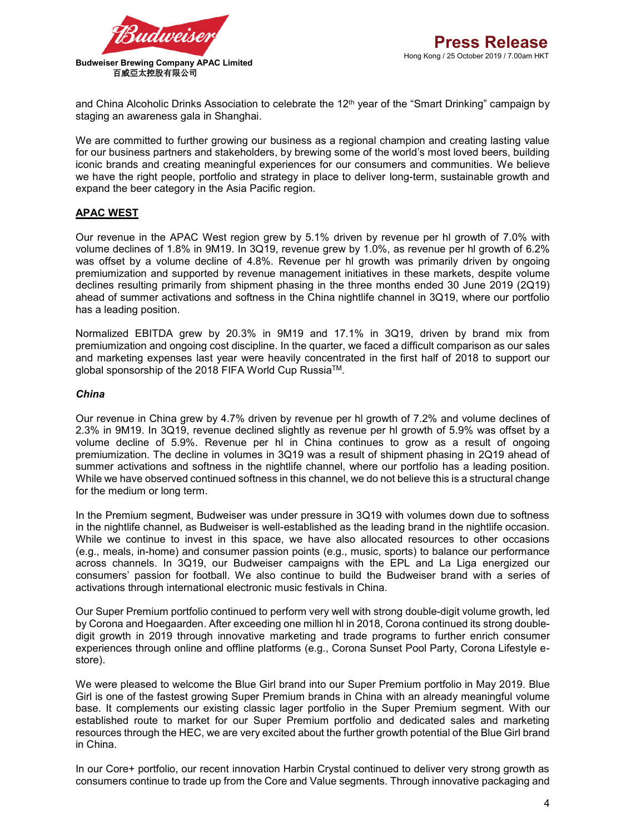

and China Alcoholic Drinks Association to celebrate the 12<sup>th</sup> year of the "Smart Drinking" campaign by staging an awareness gala in Shanghai.

We are committed to further growing our business as a regional champion and creating lasting value for our business partners and stakeholders, by brewing some of the world's most loved beers, building iconic brands and creating meaningful experiences for our consumers and communities. We believe we have the right people, portfolio and strategy in place to deliver long-term, sustainable growth and expand the beer category in the Asia Pacific region.

## **APAC WEST**

Our revenue in the APAC West region grew by 5.1% driven by revenue per hl growth of 7.0% with volume declines of 1.8% in 9M19. In 3Q19, revenue grew by 1.0%, as revenue per hl growth of 6.2% was offset by a volume decline of 4.8%. Revenue per hl growth was primarily driven by ongoing premiumization and supported by revenue management initiatives in these markets, despite volume declines resulting primarily from shipment phasing in the three months ended 30 June 2019 (2Q19) ahead of summer activations and softness in the China nightlife channel in 3Q19, where our portfolio has a leading position.

Normalized EBITDA grew by 20.3% in 9M19 and 17.1% in 3Q19, driven by brand mix from premiumization and ongoing cost discipline. In the quarter, we faced a difficult comparison as our sales and marketing expenses last year were heavily concentrated in the first half of 2018 to support our global sponsorship of the 2018 FIFA World Cup RussiaTM.

#### *China*

Our revenue in China grew by 4.7% driven by revenue per hl growth of 7.2% and volume declines of 2.3% in 9M19. In 3Q19, revenue declined slightly as revenue per hl growth of 5.9% was offset by a volume decline of 5.9%. Revenue per hl in China continues to grow as a result of ongoing premiumization. The decline in volumes in 3Q19 was a result of shipment phasing in 2Q19 ahead of summer activations and softness in the nightlife channel, where our portfolio has a leading position. While we have observed continued softness in this channel, we do not believe this is a structural change for the medium or long term.

In the Premium segment, Budweiser was under pressure in 3Q19 with volumes down due to softness in the nightlife channel, as Budweiser is well-established as the leading brand in the nightlife occasion. While we continue to invest in this space, we have also allocated resources to other occasions (e.g., meals, in-home) and consumer passion points (e.g., music, sports) to balance our performance across channels. In 3Q19, our Budweiser campaigns with the EPL and La Liga energized our consumers' passion for football. We also continue to build the Budweiser brand with a series of activations through international electronic music festivals in China.

Our Super Premium portfolio continued to perform very well with strong double-digit volume growth, led by Corona and Hoegaarden. After exceeding one million hl in 2018, Corona continued its strong doubledigit growth in 2019 through innovative marketing and trade programs to further enrich consumer experiences through online and offline platforms (e.g., Corona Sunset Pool Party, Corona Lifestyle estore).

We were pleased to welcome the Blue Girl brand into our Super Premium portfolio in May 2019. Blue Girl is one of the fastest growing Super Premium brands in China with an already meaningful volume base. It complements our existing classic lager portfolio in the Super Premium segment. With our established route to market for our Super Premium portfolio and dedicated sales and marketing resources through the HEC, we are very excited about the further growth potential of the Blue Girl brand in China.

In our Core+ portfolio, our recent innovation Harbin Crystal continued to deliver very strong growth as consumers continue to trade up from the Core and Value segments. Through innovative packaging and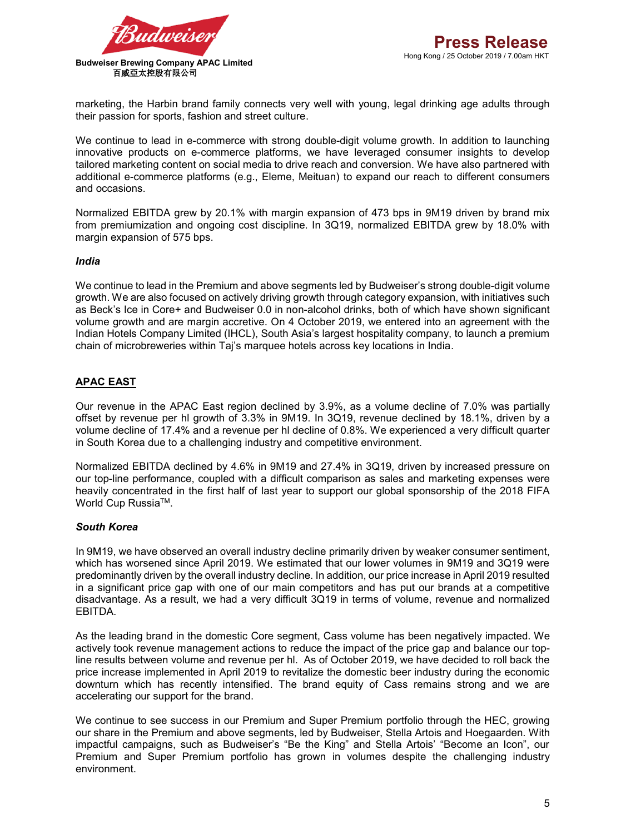

marketing, the Harbin brand family connects very well with young, legal drinking age adults through their passion for sports, fashion and street culture.

We continue to lead in e-commerce with strong double-digit volume growth. In addition to launching innovative products on e-commerce platforms, we have leveraged consumer insights to develop tailored marketing content on social media to drive reach and conversion. We have also partnered with additional e-commerce platforms (e.g., Eleme, Meituan) to expand our reach to different consumers and occasions.

Normalized EBITDA grew by 20.1% with margin expansion of 473 bps in 9M19 driven by brand mix from premiumization and ongoing cost discipline. In 3Q19, normalized EBITDA grew by 18.0% with margin expansion of 575 bps.

#### *India*

We continue to lead in the Premium and above segments led by Budweiser's strong double-digit volume growth. We are also focused on actively driving growth through category expansion, with initiatives such as Beck's Ice in Core+ and Budweiser 0.0 in non-alcohol drinks, both of which have shown significant volume growth and are margin accretive. On 4 October 2019, we entered into an agreement with the Indian Hotels Company Limited (IHCL), South Asia's largest hospitality company, to launch a premium chain of microbreweries within Taj's marquee hotels across key locations in India.

## **APAC EAST**

Our revenue in the APAC East region declined by 3.9%, as a volume decline of 7.0% was partially offset by revenue per hl growth of 3.3% in 9M19. In 3Q19, revenue declined by 18.1%, driven by a volume decline of 17.4% and a revenue per hl decline of 0.8%. We experienced a very difficult quarter in South Korea due to a challenging industry and competitive environment.

Normalized EBITDA declined by 4.6% in 9M19 and 27.4% in 3Q19, driven by increased pressure on our top-line performance, coupled with a difficult comparison as sales and marketing expenses were heavily concentrated in the first half of last year to support our global sponsorship of the 2018 FIFA World Cup Russia<sup>™</sup>.

### *South Korea*

In 9M19, we have observed an overall industry decline primarily driven by weaker consumer sentiment, which has worsened since April 2019. We estimated that our lower volumes in 9M19 and 3Q19 were predominantly driven by the overall industry decline. In addition, our price increase in April 2019 resulted in a significant price gap with one of our main competitors and has put our brands at a competitive disadvantage. As a result, we had a very difficult 3Q19 in terms of volume, revenue and normalized EBITDA.

As the leading brand in the domestic Core segment, Cass volume has been negatively impacted. We actively took revenue management actions to reduce the impact of the price gap and balance our topline results between volume and revenue per hl. As of October 2019, we have decided to roll back the price increase implemented in April 2019 to revitalize the domestic beer industry during the economic downturn which has recently intensified. The brand equity of Cass remains strong and we are accelerating our support for the brand.

We continue to see success in our Premium and Super Premium portfolio through the HEC, growing our share in the Premium and above segments, led by Budweiser, Stella Artois and Hoegaarden. With impactful campaigns, such as Budweiser's "Be the King" and Stella Artois' "Become an Icon", our Premium and Super Premium portfolio has grown in volumes despite the challenging industry environment.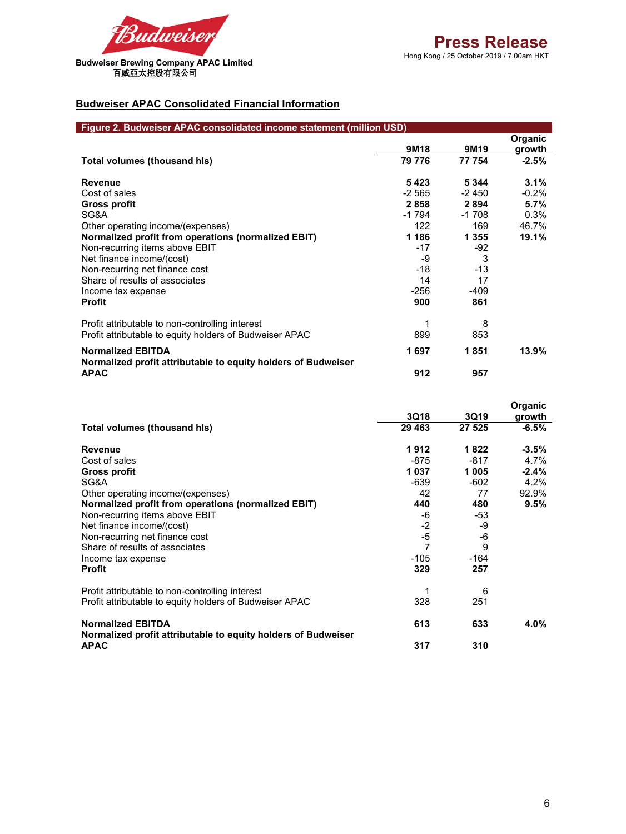

## **Budweiser APAC Consolidated Financial Information**

| Figure 2. Budweiser APAC consolidated income statement (million USD)                      |                  |                  |                   |  |
|-------------------------------------------------------------------------------------------|------------------|------------------|-------------------|--|
|                                                                                           | 9M <sub>18</sub> | 9M <sub>19</sub> | Organic<br>growth |  |
| Total volumes (thousand his)                                                              | 79 776           | 77 754           | $-2.5%$           |  |
| <b>Revenue</b>                                                                            | 5423             | 5 3 4 4          | 3.1%              |  |
| Cost of sales                                                                             | -2 565           | -2 450           | $-0.2%$           |  |
| Gross profit                                                                              | 2858             | 2894             | 5.7%              |  |
| SG&A                                                                                      | -1 794           | $-1708$          | 0.3%              |  |
| Other operating income/(expenses)                                                         | 122              | 169              | 46.7%             |  |
| Normalized profit from operations (normalized EBIT)                                       | 1 1 8 6          | 1 3 5 5          | 19.1%             |  |
| Non-recurring items above EBIT                                                            | $-17$            | $-92$            |                   |  |
| Net finance income/(cost)                                                                 | -9               | 3                |                   |  |
| Non-recurring net finance cost                                                            | $-18$            | $-13$            |                   |  |
| Share of results of associates                                                            | 14               | 17               |                   |  |
| Income tax expense                                                                        | $-256$           | $-409$           |                   |  |
| <b>Profit</b>                                                                             | 900              | 861              |                   |  |
| Profit attributable to non-controlling interest                                           |                  | 8                |                   |  |
| Profit attributable to equity holders of Budweiser APAC                                   | 899              | 853              |                   |  |
| <b>Normalized EBITDA</b><br>Normalized profit attributable to equity holders of Budweiser | 1697             | 1851             | 13.9%             |  |
| <b>APAC</b>                                                                               | 912              | 957              |                   |  |

|                                                                              | 3Q18    | 3Q19   | <b>Organic</b><br>growth |
|------------------------------------------------------------------------------|---------|--------|--------------------------|
| Total volumes (thousand his)                                                 | 29 4 63 | 27 525 | $-6.5%$                  |
| <b>Revenue</b>                                                               | 1912    | 1822   | $-3.5\%$                 |
| Cost of sales                                                                | $-875$  | $-817$ | 4.7%                     |
| Gross profit                                                                 | 1 037   | 1005   | $-2.4%$                  |
| SG&A                                                                         | -639    | $-602$ | 4.2%                     |
| Other operating income/(expenses)                                            | 42      | 77     | 92.9%                    |
| Normalized profit from operations (normalized EBIT)                          | 440     | 480    | 9.5%                     |
| Non-recurring items above EBIT                                               | -6      | -53    |                          |
| Net finance income/(cost)                                                    | $-2$    | -9     |                          |
| Non-recurring net finance cost                                               | $-5$    | -6     |                          |
| Share of results of associates                                               | 7       | 9      |                          |
| Income tax expense                                                           | $-105$  | $-164$ |                          |
| <b>Profit</b>                                                                | 329     | 257    |                          |
| Profit attributable to non-controlling interest                              |         | 6      |                          |
| Profit attributable to equity holders of Budweiser APAC                      | 328     | 251    |                          |
| <b>Normalized EBITDA</b>                                                     | 613     | 633    | 4.0%                     |
| Normalized profit attributable to equity holders of Budweiser<br><b>APAC</b> | 317     | 310    |                          |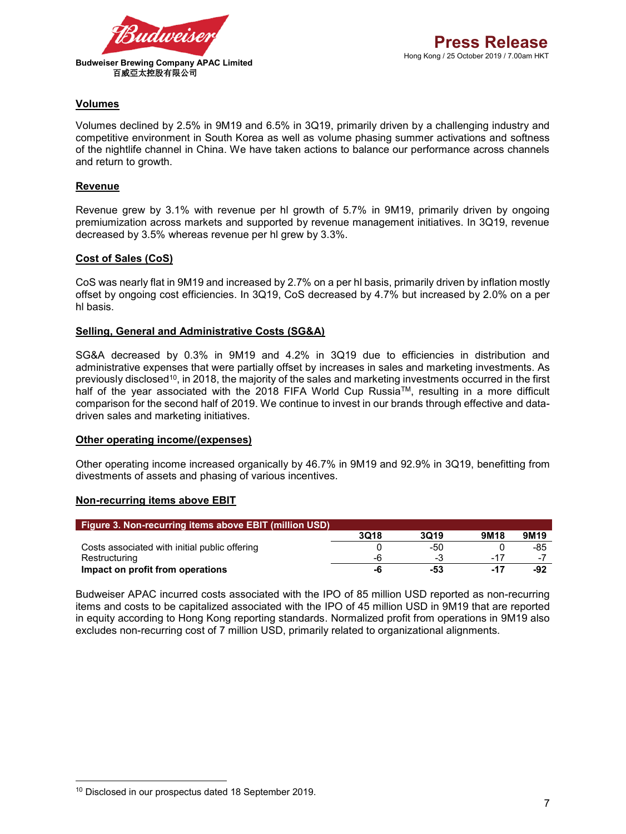

## **Volumes**

Volumes declined by 2.5% in 9M19 and 6.5% in 3Q19, primarily driven by a challenging industry and competitive environment in South Korea as well as volume phasing summer activations and softness of the nightlife channel in China. We have taken actions to balance our performance across channels and return to growth.

### **Revenue**

Revenue grew by 3.1% with revenue per hl growth of 5.7% in 9M19, primarily driven by ongoing premiumization across markets and supported by revenue management initiatives. In 3Q19, revenue decreased by 3.5% whereas revenue per hl grew by 3.3%.

## **Cost of Sales (CoS)**

CoS was nearly flat in 9M19 and increased by 2.7% on a per hl basis, primarily driven by inflation mostly offset by ongoing cost efficiencies. In 3Q19, CoS decreased by 4.7% but increased by 2.0% on a per hl basis.

## **Selling, General and Administrative Costs (SG&A)**

SG&A decreased by 0.3% in 9M19 and 4.2% in 3Q19 due to efficiencies in distribution and administrative expenses that were partially offset by increases in sales and marketing investments. As previously disclosed<sup>10</sup>, in 2018, the majority of the sales and marketing investments occurred in the first half of the year associated with the 2018 FIFA World Cup Russia™, resulting in a more difficult comparison for the second half of 2019. We continue to invest in our brands through effective and datadriven sales and marketing initiatives.

### **Other operating income/(expenses)**

Other operating income increased organically by 46.7% in 9M19 and 92.9% in 3Q19, benefitting from divestments of assets and phasing of various incentives.

### **Non-recurring items above EBIT**

| <b>Figure 3. Non-recurring items above EBIT (million USD)</b> |      |      |                  |                  |
|---------------------------------------------------------------|------|------|------------------|------------------|
|                                                               | 3Q18 | 3019 | 9M <sub>18</sub> | 9M <sub>19</sub> |
| Costs associated with initial public offering                 |      | -50  |                  | -85              |
| Restructuring                                                 | -6   | -3   | -17              | ٠.               |
| Impact on profit from operations                              | -0   | -53  | $-17$            | -92              |

Budweiser APAC incurred costs associated with the IPO of 85 million USD reported as non-recurring items and costs to be capitalized associated with the IPO of 45 million USD in 9M19 that are reported in equity according to Hong Kong reporting standards. Normalized profit from operations in 9M19 also excludes non-recurring cost of 7 million USD, primarily related to organizational alignments.

**.** 

<sup>10</sup> Disclosed in our prospectus dated 18 September 2019.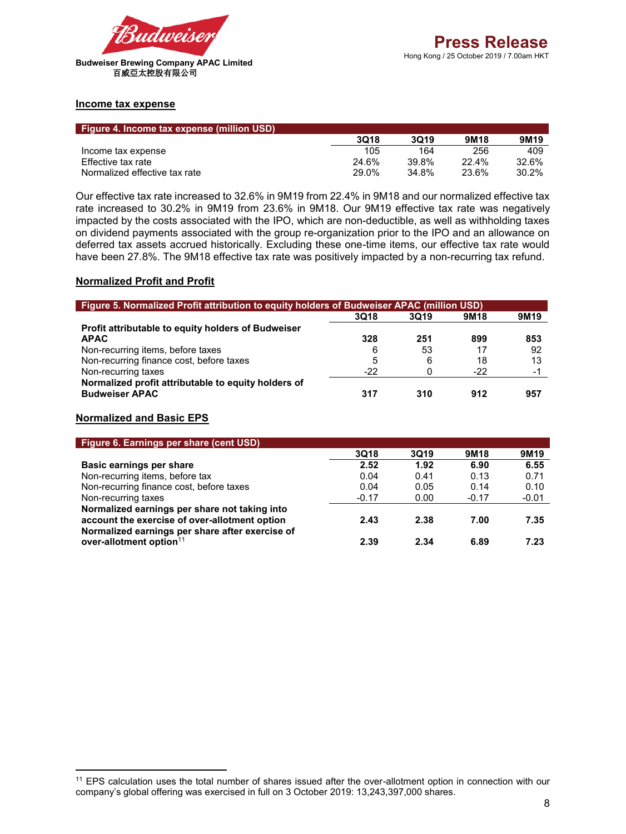

#### **Income tax expense**

| <b>Figure 4. Income tax expense (million USD)</b> |       |       |                  |                  |
|---------------------------------------------------|-------|-------|------------------|------------------|
|                                                   | 3018  | 3019  | 9M <sub>18</sub> | 9M <sub>19</sub> |
| Income tax expense                                | 105   | 164   | 256              | 409              |
| Effective tax rate                                | 24.6% | 39.8% | $22.4\%$         | 32.6%            |
| Normalized effective tax rate                     | 29.0% | 34.8% | 23.6%            | 30.2%            |

Our effective tax rate increased to 32.6% in 9M19 from 22.4% in 9M18 and our normalized effective tax rate increased to 30.2% in 9M19 from 23.6% in 9M18. Our 9M19 effective tax rate was negatively impacted by the costs associated with the IPO, which are non-deductible, as well as withholding taxes on dividend payments associated with the group re-organization prior to the IPO and an allowance on deferred tax assets accrued historically. Excluding these one-time items, our effective tax rate would have been 27.8%. The 9M18 effective tax rate was positively impacted by a non-recurring tax refund.

### **Normalized Profit and Profit**

| Figure 5. Normalized Profit attribution to equity holders of Budweiser APAC (million USD) |             |             |                  |                  |
|-------------------------------------------------------------------------------------------|-------------|-------------|------------------|------------------|
|                                                                                           | <b>3Q18</b> | <b>3Q19</b> | 9M <sub>18</sub> | 9M <sub>19</sub> |
| Profit attributable to equity holders of Budweiser                                        |             |             |                  |                  |
| <b>APAC</b>                                                                               | 328         | 251         | 899              | 853              |
| Non-recurring items, before taxes                                                         | 6           | 53          | 17               | 92               |
| Non-recurring finance cost, before taxes                                                  | 5           | 6           | 18               | 13               |
| Non-recurring taxes                                                                       | $-22$       |             | $-22$            | ۰.               |
| Normalized profit attributable to equity holders of<br><b>Budweiser APAC</b>              | 317         | 310         | 912              | 957              |

#### **Normalized and Basic EPS**

 $\overline{a}$ 

| Figure 6. Earnings per share (cent USD)                                                                                                           |             |      |                  |                  |
|---------------------------------------------------------------------------------------------------------------------------------------------------|-------------|------|------------------|------------------|
|                                                                                                                                                   | <b>3Q18</b> | 3Q19 | 9M <sub>18</sub> | 9M <sub>19</sub> |
| Basic earnings per share                                                                                                                          | 2.52        | 1.92 | 6.90             | 6.55             |
| Non-recurring items, before tax                                                                                                                   | 0.04        | 0.41 | 0.13             | 0.71             |
| Non-recurring finance cost, before taxes                                                                                                          | 0.04        | 0.05 | 0.14             | 0.10             |
| Non-recurring taxes                                                                                                                               | $-0.17$     | 0.00 | $-0.17$          | $-0.01$          |
| Normalized earnings per share not taking into<br>account the exercise of over-allotment option<br>Normalized earnings per share after exercise of | 2.43        | 2.38 | 7.00             | 7.35             |
| over-allotment option <sup>11</sup>                                                                                                               | 2.39        | 2.34 | 6.89             | 7.23             |

<sup>11</sup> EPS calculation uses the total number of shares issued after the over-allotment option in connection with our company's global offering was exercised in full on 3 October 2019: 13,243,397,000 shares.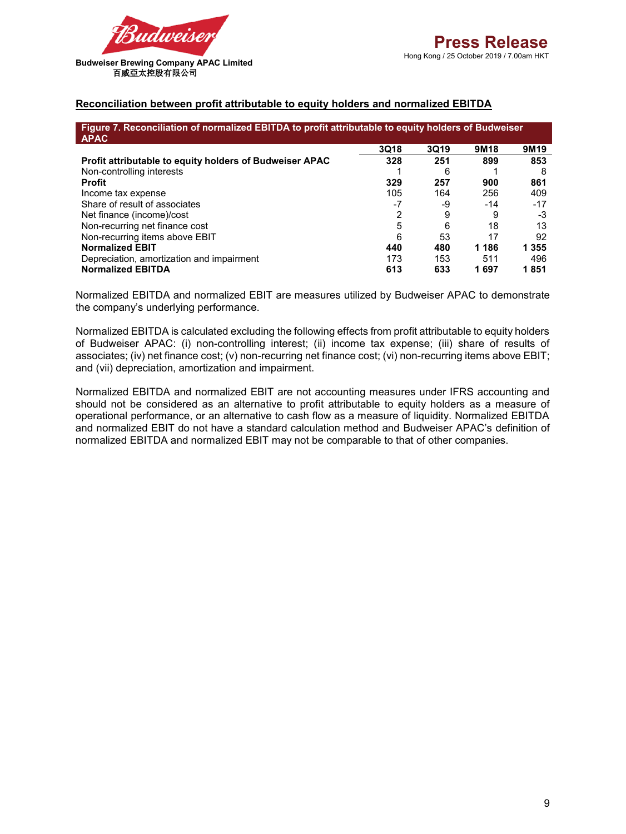

### **Reconciliation between profit attributable to equity holders and normalized EBITDA**

| Figure 7. Reconciliation of normalized EBITDA to profit attributable to equity holders of Budweiser<br><b>APAC</b> |      |      |                  |                  |
|--------------------------------------------------------------------------------------------------------------------|------|------|------------------|------------------|
|                                                                                                                    | 3Q18 | 3Q19 | 9M <sub>18</sub> | 9M <sub>19</sub> |
| Profit attributable to equity holders of Budweiser APAC                                                            | 328  | 251  | 899              | 853              |
| Non-controlling interests                                                                                          |      | 6    |                  | 8                |
| <b>Profit</b>                                                                                                      | 329  | 257  | 900              | 861              |
| Income tax expense                                                                                                 | 105  | 164  | 256              | 409              |
| Share of result of associates                                                                                      | $-7$ | -9   | $-14$            | $-17$            |
| Net finance (income)/cost                                                                                          | 2    | 9    | 9                | -3               |
| Non-recurring net finance cost                                                                                     | 5    | 6    | 18               | 13               |
| Non-recurring items above EBIT                                                                                     | 6    | 53   | 17               | 92               |
| <b>Normalized EBIT</b>                                                                                             | 440  | 480  | 1 1 8 6          | 1 3 5 5          |
| Depreciation, amortization and impairment                                                                          | 173  | 153  | 511              | 496              |
| <b>Normalized EBITDA</b>                                                                                           | 613  | 633  | 1 697            | 1851             |

Normalized EBITDA and normalized EBIT are measures utilized by Budweiser APAC to demonstrate the company's underlying performance.

Normalized EBITDA is calculated excluding the following effects from profit attributable to equity holders of Budweiser APAC: (i) non-controlling interest; (ii) income tax expense; (iii) share of results of associates; (iv) net finance cost; (v) non-recurring net finance cost; (vi) non-recurring items above EBIT; and (vii) depreciation, amortization and impairment.

Normalized EBITDA and normalized EBIT are not accounting measures under IFRS accounting and should not be considered as an alternative to profit attributable to equity holders as a measure of operational performance, or an alternative to cash flow as a measure of liquidity. Normalized EBITDA and normalized EBIT do not have a standard calculation method and Budweiser APAC's definition of normalized EBITDA and normalized EBIT may not be comparable to that of other companies.